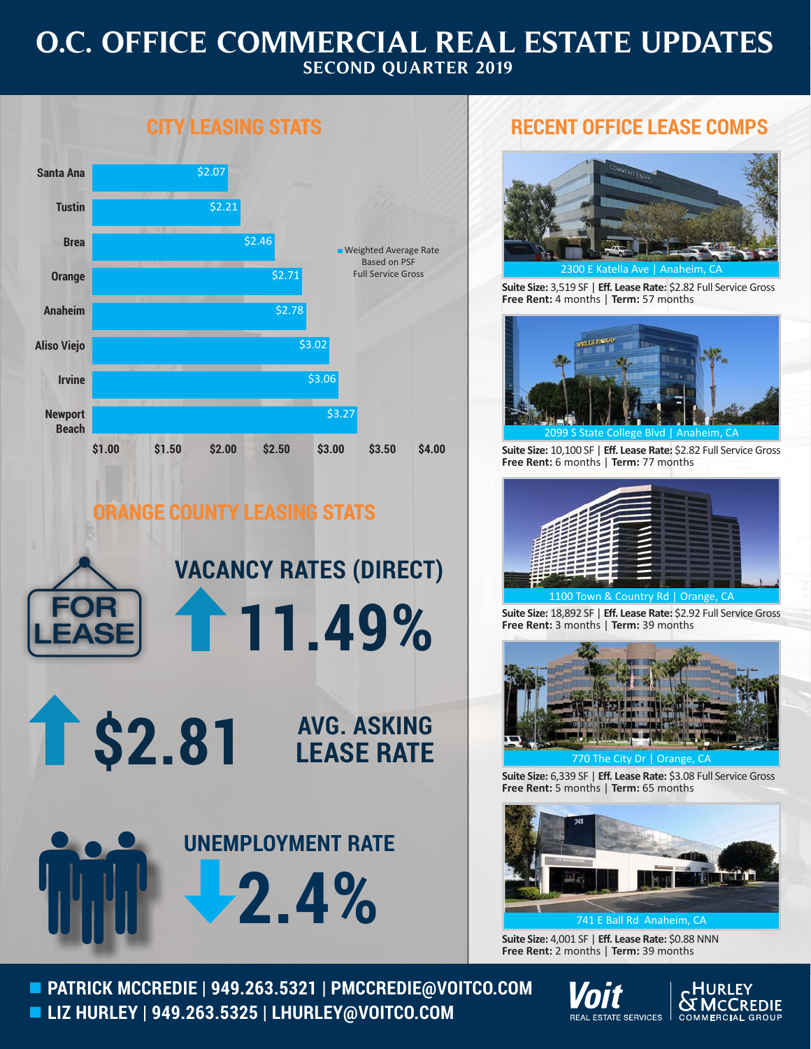## **O.C. OFFICE COMMERCIAL REAL ESTATE UPDATES SECOND QUARTER 2019**



## **ORANGE COUNTY LEASING STATS**



## **RECENT OFFICE LEASE COMPS**



Katella Ave

**Suite Size:** 3,519 SF | **Eff. Lease Rate:** \$2.82 Full Service Gross **Free Rent:** 4 months | **Term:** 57 months



**Suite Size:** 10,100 SF | **Eff. Lease Rate:** \$2.82 Full Service Gross **Free Rent:** 6 months | **Term:** 77 months



**Suite Size:** 18,892 SF | **Eff. Lease Rate:** \$2.92 Full Service Gross **Free Rent:** 3 months | **Term:** 39 months



**Suite Size:** 6,339 SF | **Eff. Lease Rate:** \$3.08 Full Service Gross **Free Rent:** 5 months | **Term:** 65 months



**Suite Size:** 4,001 SF | **Eff. Lease Rate:** \$0.88 NNN **Free Rent:** 2 months | **Term:** 39 months

 **PATRICK MCCREDIE | 949.263.5321 | PMCCREDIE@VOITCO.COM LIZ HURLEY | 949.263.5325 | LHURLEY@VOITCO.COM**